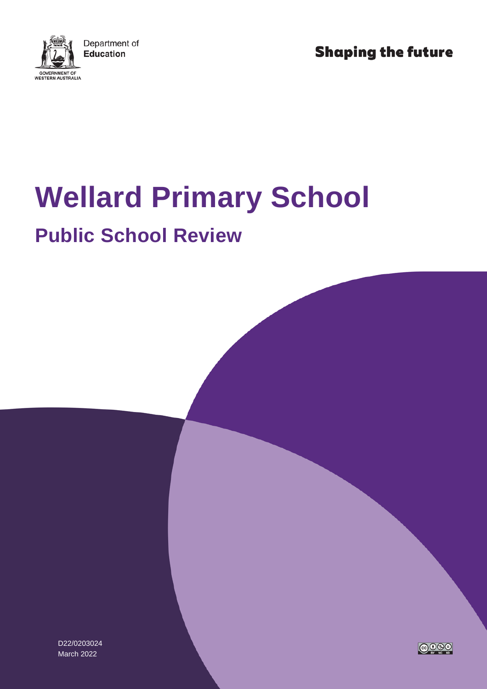

**Shaping the future** 

# **Wellard Primary School**

## **Public School Review**

D22/0203024 March 2022

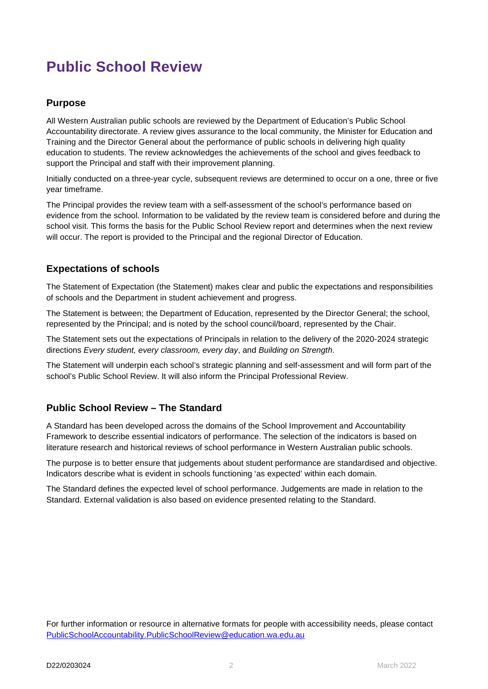### **Public School Review**

#### **Purpose**

All Western Australian public schools are reviewed by the Department of Education's Public School Accountability directorate. A review gives assurance to the local community, the Minister for Education and Training and the Director General about the performance of public schools in delivering high quality education to students. The review acknowledges the achievements of the school and gives feedback to support the Principal and staff with their improvement planning.

Initially conducted on a three-year cycle, subsequent reviews are determined to occur on a one, three or five year timeframe.

The Principal provides the review team with a self-assessment of the school's performance based on evidence from the school. Information to be validated by the review team is considered before and during the school visit. This forms the basis for the Public School Review report and determines when the next review will occur. The report is provided to the Principal and the regional Director of Education.

#### **Expectations of schools**

The Statement of Expectation (the Statement) makes clear and public the expectations and responsibilities of schools and the Department in student achievement and progress.

The Statement is between; the Department of Education, represented by the Director General; the school, represented by the Principal; and is noted by the school council/board, represented by the Chair.

The Statement sets out the expectations of Principals in relation to the delivery of the 2020-2024 strategic directions *Every student, every classroom, every day*, and *Building on Strength*.

The Statement will underpin each school's strategic planning and self-assessment and will form part of the school's Public School Review. It will also inform the Principal Professional Review.

#### **Public School Review – The Standard**

A Standard has been developed across the domains of the School Improvement and Accountability Framework to describe essential indicators of performance. The selection of the indicators is based on literature research and historical reviews of school performance in Western Australian public schools.

The purpose is to better ensure that judgements about student performance are standardised and objective. Indicators describe what is evident in schools functioning 'as expected' within each domain.

The Standard defines the expected level of school performance. Judgements are made in relation to the Standard. External validation is also based on evidence presented relating to the Standard.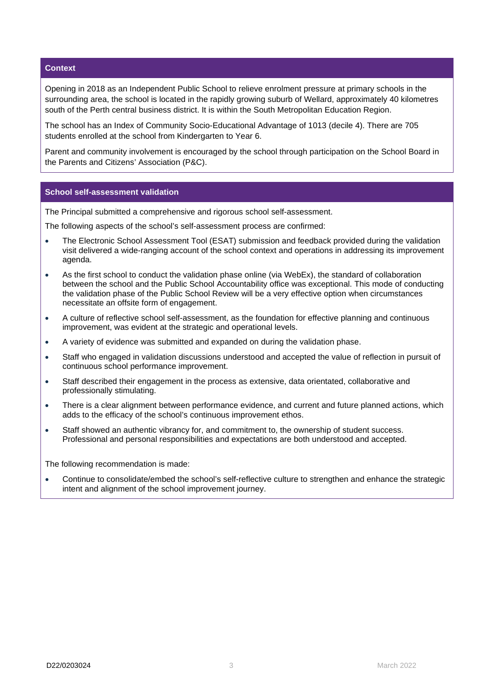#### **Context**

Opening in 2018 as an Independent Public School to relieve enrolment pressure at primary schools in the surrounding area, the school is located in the rapidly growing suburb of Wellard, approximately 40 kilometres south of the Perth central business district. It is within the South Metropolitan Education Region.

The school has an Index of Community Socio-Educational Advantage of 1013 (decile 4). There are 705 students enrolled at the school from Kindergarten to Year 6.

Parent and community involvement is encouraged by the school through participation on the School Board in the Parents and Citizens' Association (P&C).

#### **School self-assessment validation**

The Principal submitted a comprehensive and rigorous school self-assessment.

The following aspects of the school's self-assessment process are confirmed:

- The Electronic School Assessment Tool (ESAT) submission and feedback provided during the validation visit delivered a wide-ranging account of the school context and operations in addressing its improvement agenda.
- As the first school to conduct the validation phase online (via WebEx), the standard of collaboration between the school and the Public School Accountability office was exceptional. This mode of conducting the validation phase of the Public School Review will be a very effective option when circumstances necessitate an offsite form of engagement.
- A culture of reflective school self-assessment, as the foundation for effective planning and continuous improvement, was evident at the strategic and operational levels.
- A variety of evidence was submitted and expanded on during the validation phase.
- Staff who engaged in validation discussions understood and accepted the value of reflection in pursuit of continuous school performance improvement.
- Staff described their engagement in the process as extensive, data orientated, collaborative and professionally stimulating.
- There is a clear alignment between performance evidence, and current and future planned actions, which adds to the efficacy of the school's continuous improvement ethos.
- Staff showed an authentic vibrancy for, and commitment to, the ownership of student success. Professional and personal responsibilities and expectations are both understood and accepted.

The following recommendation is made:

• Continue to consolidate/embed the school's self-reflective culture to strengthen and enhance the strategic intent and alignment of the school improvement journey.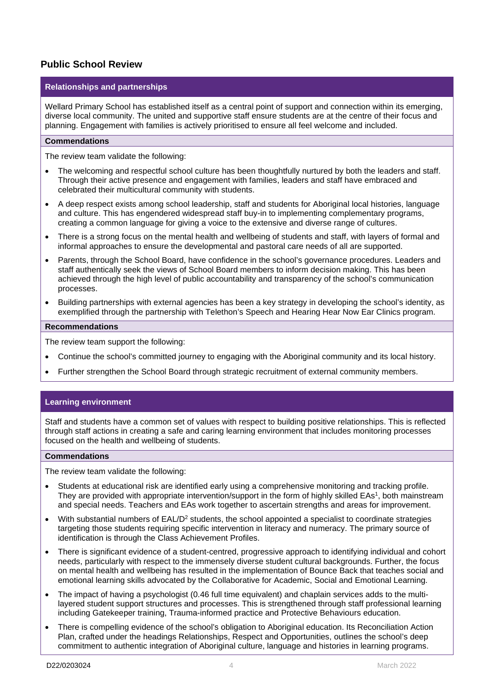#### **Public School Review**

#### **Relationships and partnerships**

Wellard Primary School has established itself as a central point of support and connection within its emerging, diverse local community. The united and supportive staff ensure students are at the centre of their focus and planning. Engagement with families is actively prioritised to ensure all feel welcome and included.

#### **Commendations**

The review team validate the following:

- The welcoming and respectful school culture has been thoughtfully nurtured by both the leaders and staff. Through their active presence and engagement with families, leaders and staff have embraced and celebrated their multicultural community with students.
- A deep respect exists among school leadership, staff and students for Aboriginal local histories, language and culture. This has engendered widespread staff buy-in to implementing complementary programs, creating a common language for giving a voice to the extensive and diverse range of cultures.
- There is a strong focus on the mental health and wellbeing of students and staff, with layers of formal and informal approaches to ensure the developmental and pastoral care needs of all are supported.
- Parents, through the School Board, have confidence in the school's governance procedures. Leaders and staff authentically seek the views of School Board members to inform decision making. This has been achieved through the high level of public accountability and transparency of the school's communication processes.
- Building partnerships with external agencies has been a key strategy in developing the school's identity, as exemplified through the partnership with Telethon's Speech and Hearing Hear Now Ear Clinics program.

#### **Recommendations**

The review team support the following:

- Continue the school's committed journey to engaging with the Aboriginal community and its local history.
- Further strengthen the School Board through strategic recruitment of external community members.

#### **Learning environment**

Staff and students have a common set of values with respect to building positive relationships. This is reflected through staff actions in creating a safe and caring learning environment that includes monitoring processes focused on the health and wellbeing of students.

#### **Commendations**

The review team validate the following:

- Students at educational risk are identified early using a comprehensive monitoring and tracking profile. They are provided with appropriate intervention/support in the form of highly skilled EAs<sup>1</sup>, both mainstream and special needs. Teachers and EAs work together to ascertain strengths and areas for improvement.
- With substantial numbers of EAL/D2 students, the school appointed a specialist to coordinate strategies targeting those students requiring specific intervention in literacy and numeracy. The primary source of identification is through the Class Achievement Profiles.
- There is significant evidence of a student-centred, progressive approach to identifying individual and cohort needs, particularly with respect to the immensely diverse student cultural backgrounds. Further, the focus on mental health and wellbeing has resulted in the implementation of Bounce Back that teaches social and emotional learning skills advocated by the Collaborative for Academic, Social and Emotional Learning.
- The impact of having a psychologist (0.46 full time equivalent) and chaplain services adds to the multilayered student support structures and processes. This is strengthened through staff professional learning including Gatekeeper training, Trauma-informed practice and Protective Behaviours education.
- There is compelling evidence of the school's obligation to Aboriginal education. Its Reconciliation Action Plan, crafted under the headings Relationships, Respect and Opportunities, outlines the school's deep commitment to authentic integration of Aboriginal culture, language and histories in learning programs.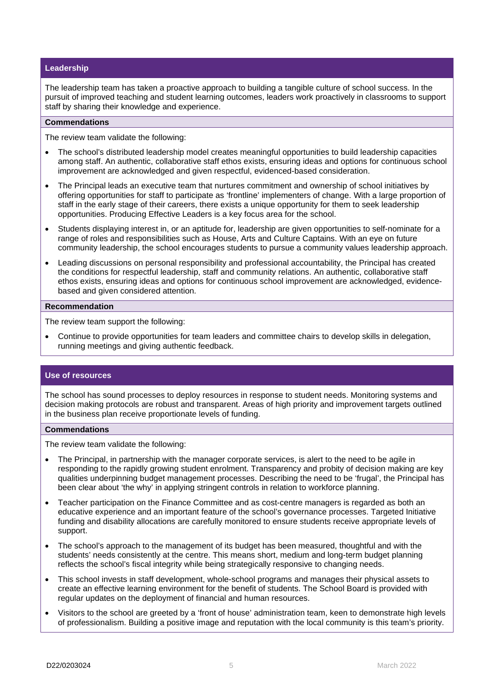#### **Leadership**

The leadership team has taken a proactive approach to building a tangible culture of school success. In the pursuit of improved teaching and student learning outcomes, leaders work proactively in classrooms to support staff by sharing their knowledge and experience.

#### **Commendations**

The review team validate the following:

- The school's distributed leadership model creates meaningful opportunities to build leadership capacities among staff. An authentic, collaborative staff ethos exists, ensuring ideas and options for continuous school improvement are acknowledged and given respectful, evidenced-based consideration.
- The Principal leads an executive team that nurtures commitment and ownership of school initiatives by offering opportunities for staff to participate as 'frontline' implementers of change. With a large proportion of staff in the early stage of their careers, there exists a unique opportunity for them to seek leadership opportunities. Producing Effective Leaders is a key focus area for the school.
- Students displaying interest in, or an aptitude for, leadership are given opportunities to self-nominate for a range of roles and responsibilities such as House, Arts and Culture Captains. With an eye on future community leadership, the school encourages students to pursue a community values leadership approach.
- Leading discussions on personal responsibility and professional accountability, the Principal has created the conditions for respectful leadership, staff and community relations. An authentic, collaborative staff ethos exists, ensuring ideas and options for continuous school improvement are acknowledged, evidencebased and given considered attention.

#### **Recommendation**

The review team support the following:

• Continue to provide opportunities for team leaders and committee chairs to develop skills in delegation, running meetings and giving authentic feedback.

#### **Use of resources**

The school has sound processes to deploy resources in response to student needs. Monitoring systems and decision making protocols are robust and transparent. Areas of high priority and improvement targets outlined in the business plan receive proportionate levels of funding.

#### **Commendations**

The review team validate the following:

- The Principal, in partnership with the manager corporate services, is alert to the need to be agile in responding to the rapidly growing student enrolment. Transparency and probity of decision making are key qualities underpinning budget management processes. Describing the need to be 'frugal', the Principal has been clear about 'the why' in applying stringent controls in relation to workforce planning.
- Teacher participation on the Finance Committee and as cost-centre managers is regarded as both an educative experience and an important feature of the school's governance processes. Targeted Initiative funding and disability allocations are carefully monitored to ensure students receive appropriate levels of support.
- The school's approach to the management of its budget has been measured, thoughtful and with the students' needs consistently at the centre. This means short, medium and long-term budget planning reflects the school's fiscal integrity while being strategically responsive to changing needs.
- This school invests in staff development, whole-school programs and manages their physical assets to create an effective learning environment for the benefit of students. The School Board is provided with regular updates on the deployment of financial and human resources.
- Visitors to the school are greeted by a 'front of house' administration team, keen to demonstrate high levels of professionalism. Building a positive image and reputation with the local community is this team's priority.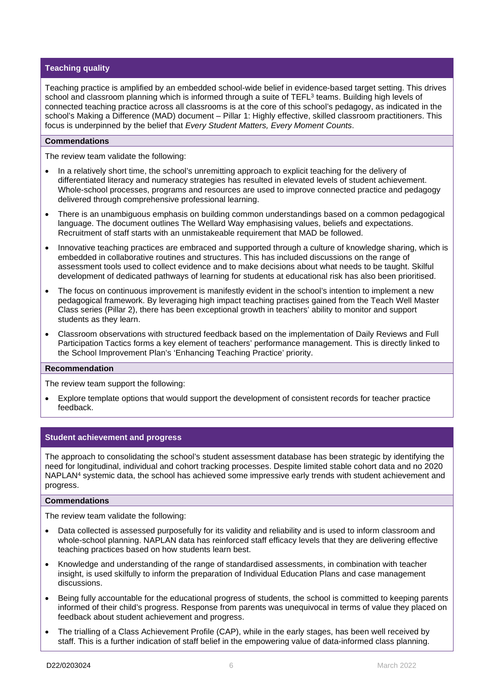#### **Teaching quality**

Teaching practice is amplified by an embedded school-wide belief in evidence-based target setting. This drives school and classroom planning which is informed through a suite of TEFL<sup>3</sup> teams. Building high levels of connected teaching practice across all classrooms is at the core of this school's pedagogy, as indicated in the school's Making a Difference (MAD) document – Pillar 1: Highly effective, skilled classroom practitioners. This focus is underpinned by the belief that *Every Student Matters, Every Moment Counts*.

#### **Commendations**

The review team validate the following:

- In a relatively short time, the school's unremitting approach to explicit teaching for the delivery of differentiated literacy and numeracy strategies has resulted in elevated levels of student achievement. Whole-school processes, programs and resources are used to improve connected practice and pedagogy delivered through comprehensive professional learning.
- There is an unambiguous emphasis on building common understandings based on a common pedagogical language. The document outlines The Wellard Way emphasising values, beliefs and expectations. Recruitment of staff starts with an unmistakeable requirement that MAD be followed.
- Innovative teaching practices are embraced and supported through a culture of knowledge sharing, which is embedded in collaborative routines and structures. This has included discussions on the range of assessment tools used to collect evidence and to make decisions about what needs to be taught. Skilful development of dedicated pathways of learning for students at educational risk has also been prioritised.
- The focus on continuous improvement is manifestly evident in the school's intention to implement a new pedagogical framework. By leveraging high impact teaching practises gained from the Teach Well Master Class series (Pillar 2), there has been exceptional growth in teachers' ability to monitor and support students as they learn.
- Classroom observations with structured feedback based on the implementation of Daily Reviews and Full Participation Tactics forms a key element of teachers' performance management. This is directly linked to the School Improvement Plan's 'Enhancing Teaching Practice' priority.

#### **Recommendation**

The review team support the following:

• Explore template options that would support the development of consistent records for teacher practice feedback.

#### **Student achievement and progress**

The approach to consolidating the school's student assessment database has been strategic by identifying the need for longitudinal, individual and cohort tracking processes. Despite limited stable cohort data and no 2020 NAPLAN<sup>4</sup> systemic data, the school has achieved some impressive early trends with student achievement and progress.

#### **Commendations**

The review team validate the following:

- Data collected is assessed purposefully for its validity and reliability and is used to inform classroom and whole-school planning. NAPLAN data has reinforced staff efficacy levels that they are delivering effective teaching practices based on how students learn best.
- Knowledge and understanding of the range of standardised assessments, in combination with teacher insight, is used skilfully to inform the preparation of Individual Education Plans and case management discussions.
- Being fully accountable for the educational progress of students, the school is committed to keeping parents informed of their child's progress. Response from parents was unequivocal in terms of value they placed on feedback about student achievement and progress.
- The trialling of a Class Achievement Profile (CAP), while in the early stages, has been well received by staff. This is a further indication of staff belief in the empowering value of data-informed class planning.